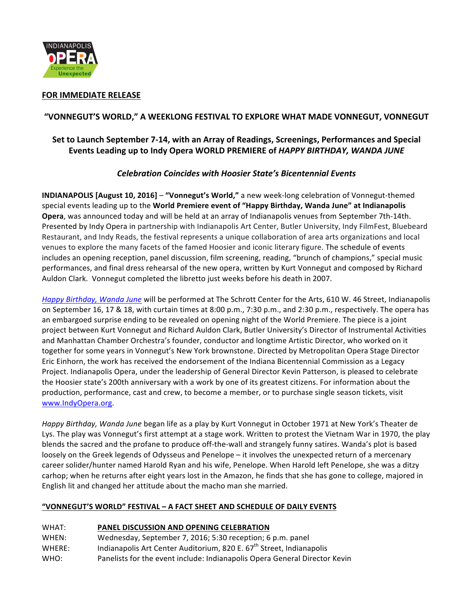

## **FOR IMMEDIATE RELEASE**

## **"VONNEGUT'S WORLD," A WEEKLONG FESTIVAL TO EXPLORE WHAT MADE VONNEGUT, VONNEGUT**

# Set to Launch September 7-14, with an Array of Readings, Screenings, Performances and Special Events Leading up to Indy Opera WORLD PREMIERE of *HAPPY BIRTHDAY, WANDA JUNE*

#### *Celebration Coincides with Hoosier State's Bicentennial Events*

**INDIANAPOLIS [August 10, 2016] – "Vonnegut's World,"** a new week-long celebration of Vonnegut-themed special events leading up to the **World Premiere event of "Happy Birthday, Wanda June" at Indianapolis** Opera, was announced today and will be held at an array of Indianapolis venues from September 7th-14th. Presented by Indy Opera in partnership with Indianapolis Art Center, Butler University, Indy FilmFest, Bluebeard Restaurant, and Indy Reads, the festival represents a unique collaboration of area arts organizations and local venues to explore the many facets of the famed Hoosier and iconic literary figure. The schedule of events includes an opening reception, panel discussion, film screening, reading, "brunch of champions," special music performances, and final dress rehearsal of the new opera, written by Kurt Vonnegut and composed by Richard Auldon Clark. Vonnegut completed the libretto just weeks before his death in 2007.

*Happy Birthday, Wanda June* will be performed at The Schrott Center for the Arts, 610 W. 46 Street, Indianapolis on September 16, 17 & 18, with curtain times at  $8:00$  p.m.,  $7:30$  p.m., and  $2:30$  p.m., respectively. The opera has an embargoed surprise ending to be revealed on opening night of the World Premiere. The piece is a joint project between Kurt Vonnegut and Richard Auldon Clark, Butler University's Director of Instrumental Activities and Manhattan Chamber Orchestra's founder, conductor and longtime Artistic Director, who worked on it together for some years in Vonnegut's New York brownstone. Directed by Metropolitan Opera Stage Director Eric Einhorn, the work has received the endorsement of the Indiana Bicentennial Commission as a Legacy Project. Indianapolis Opera, under the leadership of General Director Kevin Patterson, is pleased to celebrate the Hoosier state's 200th anniversary with a work by one of its greatest citizens. For information about the production, performance, cast and crew, to become a member, or to purchase single season tickets, visit www.IndyOpera.org.

*Happy Birthday, Wanda June* began life as a play by Kurt Vonnegut in October 1971 at New York's Theater de Lys. The play was Vonnegut's first attempt at a stage work. Written to protest the Vietnam War in 1970, the play blends the sacred and the profane to produce off-the-wall and strangely funny satires. Wanda's plot is based loosely on the Greek legends of Odysseus and Penelope – it involves the unexpected return of a mercenary career solider/hunter named Harold Ryan and his wife, Penelope. When Harold left Penelope, she was a ditzy carhop; when he returns after eight years lost in the Amazon, he finds that she has gone to college, majored in English lit and changed her attitude about the macho man she married.

#### **"VONNEGUT'S WORLD" FESTIVAL – A FACT SHEET AND SCHEDULE OF DAILY EVENTS**

#### WHAT: **PANEL DISCUSSION AND OPENING CELEBRATION**

WHEN: Wednesday, September 7, 2016; 5:30 reception; 6 p.m. panel WHERE: Indianapolis Art Center Auditorium, 820 E.  $67<sup>th</sup>$  Street, Indianapolis WHO: Panelists for the event include: Indianapolis Opera General Director Kevin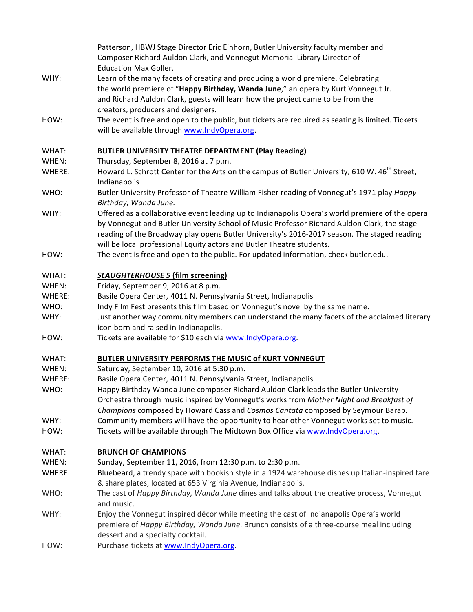|                 | Patterson, HBWJ Stage Director Eric Einhorn, Butler University faculty member and<br>Composer Richard Auldon Clark, and Vonnegut Memorial Library Director of<br><b>Education Max Goller.</b>                                                                                                                                                                          |
|-----------------|------------------------------------------------------------------------------------------------------------------------------------------------------------------------------------------------------------------------------------------------------------------------------------------------------------------------------------------------------------------------|
| WHY:            | Learn of the many facets of creating and producing a world premiere. Celebrating<br>the world premiere of "Happy Birthday, Wanda June," an opera by Kurt Vonnegut Jr.<br>and Richard Auldon Clark, guests will learn how the project came to be from the<br>creators, producers and designers.                                                                         |
| HOW:            | The event is free and open to the public, but tickets are required as seating is limited. Tickets<br>will be available through www.IndyOpera.org.                                                                                                                                                                                                                      |
| WHAT:           | <b>BUTLER UNIVERSITY THEATRE DEPARTMENT (Play Reading)</b>                                                                                                                                                                                                                                                                                                             |
| WHEN:<br>WHERE: | Thursday, September 8, 2016 at 7 p.m.<br>Howard L. Schrott Center for the Arts on the campus of Butler University, 610 W. 46 <sup>th</sup> Street,<br>Indianapolis                                                                                                                                                                                                     |
| WHO:            | Butler University Professor of Theatre William Fisher reading of Vonnegut's 1971 play Happy<br>Birthday, Wanda June.                                                                                                                                                                                                                                                   |
| WHY:            | Offered as a collaborative event leading up to Indianapolis Opera's world premiere of the opera<br>by Vonnegut and Butler University School of Music Professor Richard Auldon Clark, the stage<br>reading of the Broadway play opens Butler University's 2016-2017 season. The staged reading<br>will be local professional Equity actors and Butler Theatre students. |
| HOW:            | The event is free and open to the public. For updated information, check butler.edu.                                                                                                                                                                                                                                                                                   |
| WHAT:           | <b>SLAUGHTERHOUSE 5 (film screening)</b>                                                                                                                                                                                                                                                                                                                               |
| WHEN:           | Friday, September 9, 2016 at 8 p.m.                                                                                                                                                                                                                                                                                                                                    |
| WHERE:          | Basile Opera Center, 4011 N. Pennsylvania Street, Indianapolis                                                                                                                                                                                                                                                                                                         |
| WHO:            | Indy Film Fest presents this film based on Vonnegut's novel by the same name.                                                                                                                                                                                                                                                                                          |
| WHY:            | Just another way community members can understand the many facets of the acclaimed literary                                                                                                                                                                                                                                                                            |
| HOW:            | icon born and raised in Indianapolis.<br>Tickets are available for \$10 each via www.IndyOpera.org.                                                                                                                                                                                                                                                                    |
| WHAT:           | BUTLER UNIVERSITY PERFORMS THE MUSIC of KURT VONNEGUT                                                                                                                                                                                                                                                                                                                  |
| WHEN:           | Saturday, September 10, 2016 at 5:30 p.m.                                                                                                                                                                                                                                                                                                                              |
| WHERE:          | Basile Opera Center, 4011 N. Pennsylvania Street, Indianapolis                                                                                                                                                                                                                                                                                                         |
| WHO:            | Happy Birthday Wanda June composer Richard Auldon Clark leads the Butler University<br>Orchestra through music inspired by Vonnegut's works from Mother Night and Breakfast of<br>Champions composed by Howard Cass and Cosmos Cantata composed by Seymour Barab.                                                                                                      |
| WHY:            | Community members will have the opportunity to hear other Vonnegut works set to music.                                                                                                                                                                                                                                                                                 |
| HOW:            | Tickets will be available through The Midtown Box Office via www.IndyOpera.org.                                                                                                                                                                                                                                                                                        |
| WHAT:           | <b>BRUNCH OF CHAMPIONS</b>                                                                                                                                                                                                                                                                                                                                             |
| WHEN:           | Sunday, September 11, 2016, from 12:30 p.m. to 2:30 p.m.                                                                                                                                                                                                                                                                                                               |
| WHERE:          | Bluebeard, a trendy space with bookish style in a 1924 warehouse dishes up Italian-inspired fare                                                                                                                                                                                                                                                                       |
| WHO:            | & share plates, located at 653 Virginia Avenue, Indianapolis.<br>The cast of Happy Birthday, Wanda June dines and talks about the creative process, Vonnegut<br>and music.                                                                                                                                                                                             |
| WHY:            | Enjoy the Vonnegut inspired décor while meeting the cast of Indianapolis Opera's world<br>premiere of Happy Birthday, Wanda June. Brunch consists of a three-course meal including<br>dessert and a specialty cocktail.                                                                                                                                                |
| HOW:            | Purchase tickets at www.IndyOpera.org.                                                                                                                                                                                                                                                                                                                                 |